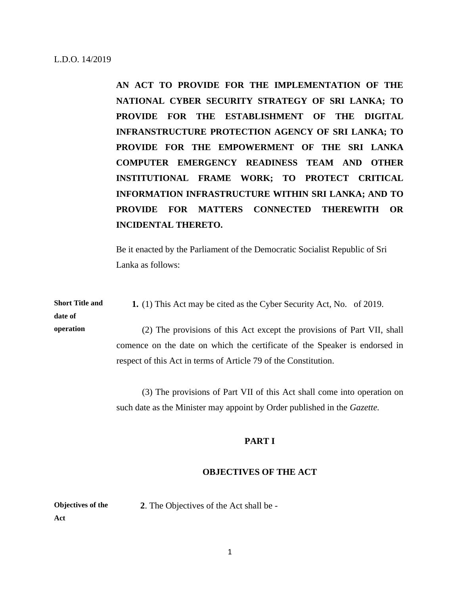**AN ACT TO PROVIDE FOR THE IMPLEMENTATION OF THE NATIONAL CYBER SECURITY STRATEGY OF SRI LANKA; TO PROVIDE FOR THE ESTABLISHMENT OF THE DIGITAL INFRANSTRUCTURE PROTECTION AGENCY OF SRI LANKA; TO PROVIDE FOR THE EMPOWERMENT OF THE SRI LANKA COMPUTER EMERGENCY READINESS TEAM AND OTHER INSTITUTIONAL FRAME WORK; TO PROTECT CRITICAL INFORMATION INFRASTRUCTURE WITHIN SRI LANKA; AND TO PROVIDE FOR MATTERS CONNECTED THEREWITH OR INCIDENTAL THERETO.**

Be it enacted by the Parliament of the Democratic Socialist Republic of Sri Lanka as follows:

**Short Title and 1.** (1) This Act may be cited as the Cyber Security Act, No. of 2019.

**date of operation**

(2) The provisions of this Act except the provisions of Part VII, shall comence on the date on which the certificate of the Speaker is endorsed in respect of this Act in terms of Article 79 of the Constitution.

(3) The provisions of Part VII of this Act shall come into operation on such date as the Minister may appoint by Order published in the *Gazette.*

## **PART I**

## **OBJECTIVES OF THE ACT**

**Objectives of the 2**. The Objectives of the Act shall be -

**Act**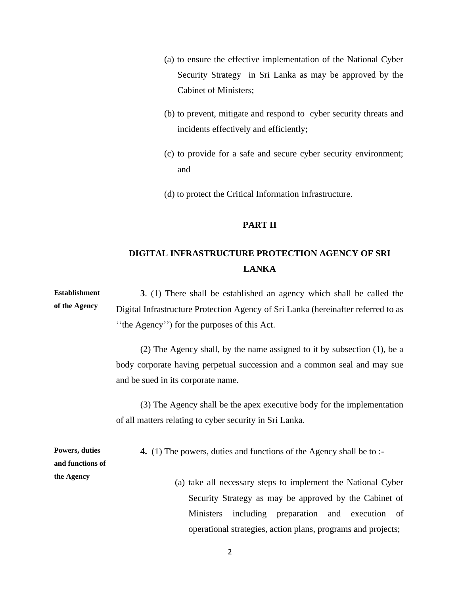- (a) to ensure the effective implementation of the National Cyber Security Strategy in Sri Lanka as may be approved by the Cabinet of Ministers;
- (b) to prevent, mitigate and respond to cyber security threats and incidents effectively and efficiently;
- (c) to provide for a safe and secure cyber security environment; and
- (d) to protect the Critical Information Infrastructure.

# **PART II**

# **DIGITAL INFRASTRUCTURE PROTECTION AGENCY OF SRI LANKA**

**Establishment of the Agency 3**. (1) There shall be established an agency which shall be called the Digital Infrastructure Protection Agency of Sri Lanka (hereinafter referred to as ''the Agency'') for the purposes of this Act.

> (2) The Agency shall, by the name assigned to it by subsection (1), be a body corporate having perpetual succession and a common seal and may sue and be sued in its corporate name.

> (3) The Agency shall be the apex executive body for the implementation of all matters relating to cyber security in Sri Lanka.

**4.** (1) The powers, duties and functions of the Agency shall be to :-

**Powers, duties and functions of the Agency**

(a) take all necessary steps to implement the National Cyber Security Strategy as may be approved by the Cabinet of Ministers including preparation and execution of operational strategies, action plans, programs and projects;

2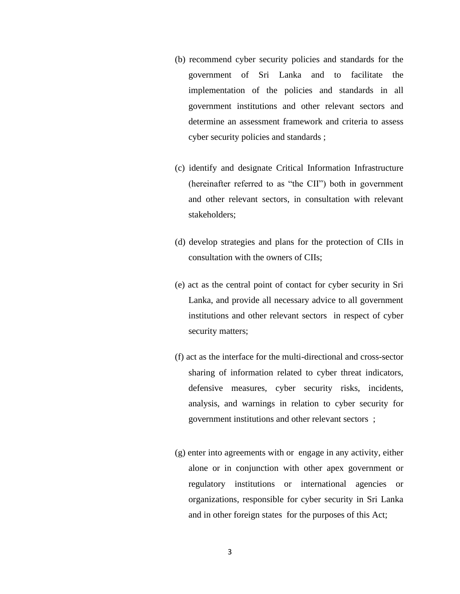- (b) recommend cyber security policies and standards for the government of Sri Lanka and to facilitate the implementation of the policies and standards in all government institutions and other relevant sectors and determine an assessment framework and criteria to assess cyber security policies and standards ;
- (c) identify and designate Critical Information Infrastructure (hereinafter referred to as "the CII") both in government and other relevant sectors, in consultation with relevant stakeholders;
- (d) develop strategies and plans for the protection of CIIs in consultation with the owners of CIIs;
- (e) act as the central point of contact for cyber security in Sri Lanka, and provide all necessary advice to all government institutions and other relevant sectors in respect of cyber security matters;
- (f) act as the interface for the multi-directional and cross-sector sharing of information related to cyber threat indicators, defensive measures, cyber security risks, incidents, analysis, and warnings in relation to cyber security for government institutions and other relevant sectors ;
- (g) enter into agreements with or engage in any activity, either alone or in conjunction with other apex government or regulatory institutions or international agencies or organizations, responsible for cyber security in Sri Lanka and in other foreign states for the purposes of this Act;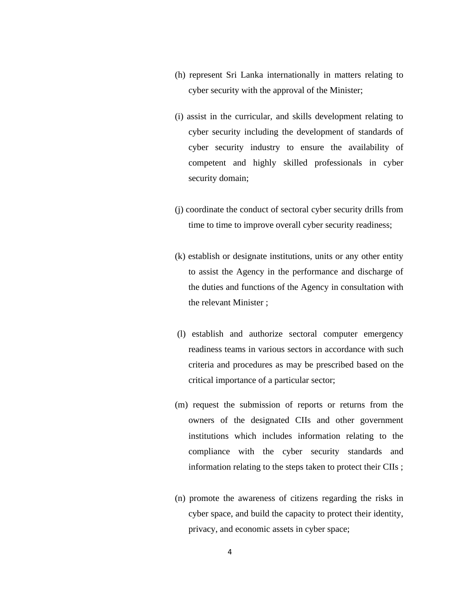- (h) represent Sri Lanka internationally in matters relating to cyber security with the approval of the Minister;
- (i) assist in the curricular, and skills development relating to cyber security including the development of standards of cyber security industry to ensure the availability of competent and highly skilled professionals in cyber security domain;
- (j) coordinate the conduct of sectoral cyber security drills from time to time to improve overall cyber security readiness;
- (k) establish or designate institutions, units or any other entity to assist the Agency in the performance and discharge of the duties and functions of the Agency in consultation with the relevant Minister ;
- (l) establish and authorize sectoral computer emergency readiness teams in various sectors in accordance with such criteria and procedures as may be prescribed based on the critical importance of a particular sector;
- (m) request the submission of reports or returns from the owners of the designated CIIs and other government institutions which includes information relating to the compliance with the cyber security standards and information relating to the steps taken to protect their CIIs ;
- (n) promote the awareness of citizens regarding the risks in cyber space, and build the capacity to protect their identity, privacy, and economic assets in cyber space;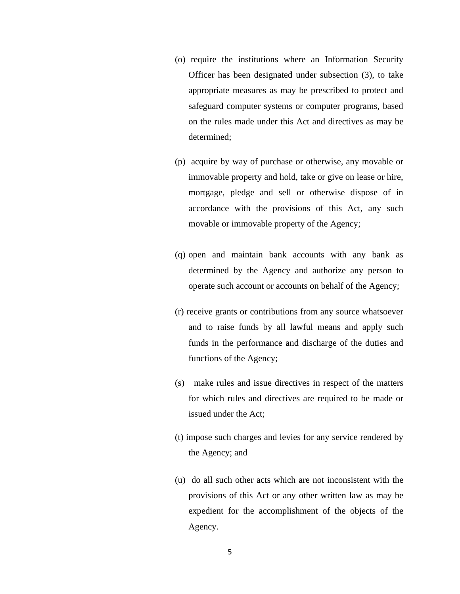- (o) require the institutions where an Information Security Officer has been designated under subsection (3), to take appropriate measures as may be prescribed to protect and safeguard computer systems or computer programs, based on the rules made under this Act and directives as may be determined;
- (p) acquire by way of purchase or otherwise, any movable or immovable property and hold, take or give on lease or hire, mortgage, pledge and sell or otherwise dispose of in accordance with the provisions of this Act, any such movable or immovable property of the Agency;
- (q) open and maintain bank accounts with any bank as determined by the Agency and authorize any person to operate such account or accounts on behalf of the Agency;
- (r) receive grants or contributions from any source whatsoever and to raise funds by all lawful means and apply such funds in the performance and discharge of the duties and functions of the Agency;
- (s) make rules and issue directives in respect of the matters for which rules and directives are required to be made or issued under the Act;
- (t) impose such charges and levies for any service rendered by the Agency; and
- (u) do all such other acts which are not inconsistent with the provisions of this Act or any other written law as may be expedient for the accomplishment of the objects of the Agency.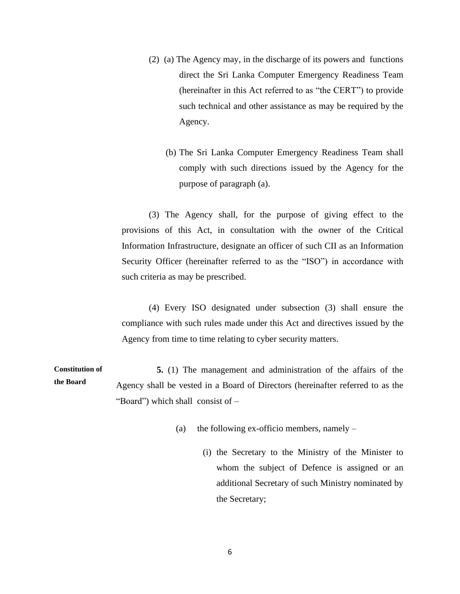- (2)(a) The Agency may, in the discharge of its powers and functions direct the Sri Lanka Computer Emergency Readiness Team (hereinafter in this Act referred to as "the CERT") to provide such technical and other assistance as may be required by the Agency.
	- (b) The Sri Lanka Computer Emergency Readiness Team shall comply with such directions issued by the Agency for the purpose of paragraph (a).

(3) The Agency shall, for the purpose of giving effect to the provisions of this Act, in consultation with the owner of the Critical Information Infrastructure, designate an officer of such CII as an Information Security Officer (hereinafter referred to as the "ISO") in accordance with such criteria as may be prescribed.

(4) Every ISO designated under subsection (3) shall ensure the compliance with such rules made under this Act and directives issued by the Agency from time to time relating to cyber security matters.

**Constitution of the Board 5.** (1) The management and administration of the affairs of the Agency shall be vested in a Board of Directors (hereinafter referred to as the "Board") which shall consist of –

- (a) the following ex-officio members, namely  $-$ 
	- (i) the Secretary to the Ministry of the Minister to whom the subject of Defence is assigned or an additional Secretary of such Ministry nominated by the Secretary;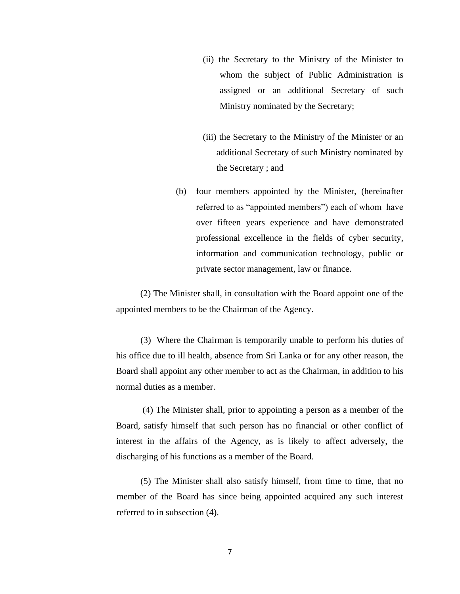- (ii) the Secretary to the Ministry of the Minister to whom the subject of Public Administration is assigned or an additional Secretary of such Ministry nominated by the Secretary;
- (iii) the Secretary to the Ministry of the Minister or an additional Secretary of such Ministry nominated by the Secretary ; and
- (b) four members appointed by the Minister, (hereinafter referred to as "appointed members") each of whom have over fifteen years experience and have demonstrated professional excellence in the fields of cyber security, information and communication technology, public or private sector management, law or finance.

(2) The Minister shall, in consultation with the Board appoint one of the appointed members to be the Chairman of the Agency.

(3) Where the Chairman is temporarily unable to perform his duties of his office due to ill health, absence from Sri Lanka or for any other reason, the Board shall appoint any other member to act as the Chairman, in addition to his normal duties as a member.

(4) The Minister shall, prior to appointing a person as a member of the Board, satisfy himself that such person has no financial or other conflict of interest in the affairs of the Agency, as is likely to affect adversely, the discharging of his functions as a member of the Board.

(5) The Minister shall also satisfy himself, from time to time, that no member of the Board has since being appointed acquired any such interest referred to in subsection (4).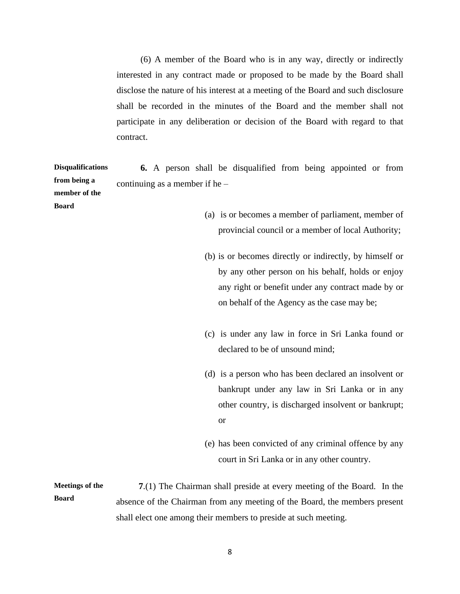(6) A member of the Board who is in any way, directly or indirectly interested in any contract made or proposed to be made by the Board shall disclose the nature of his interest at a meeting of the Board and such disclosure shall be recorded in the minutes of the Board and the member shall not participate in any deliberation or decision of the Board with regard to that contract.

**Disqualifications from being a member of the Board 6.** A person shall be disqualified from being appointed or from continuing as a member if he –

- (a) is or becomes a member of parliament, member of provincial council or a member of local Authority;
- (b) is or becomes directly or indirectly, by himself or by any other person on his behalf, holds or enjoy any right or benefit under any contract made by or on behalf of the Agency as the case may be;
- (c) is under any law in force in Sri Lanka found or declared to be of unsound mind;
- (d) is a person who has been declared an insolvent or bankrupt under any law in Sri Lanka or in any other country, is discharged insolvent or bankrupt; or
- (e) has been convicted of any criminal offence by any court in Sri Lanka or in any other country.

**Meetings of the Board 7**.(1) The Chairman shall preside at every meeting of the Board. In the absence of the Chairman from any meeting of the Board, the members present shall elect one among their members to preside at such meeting.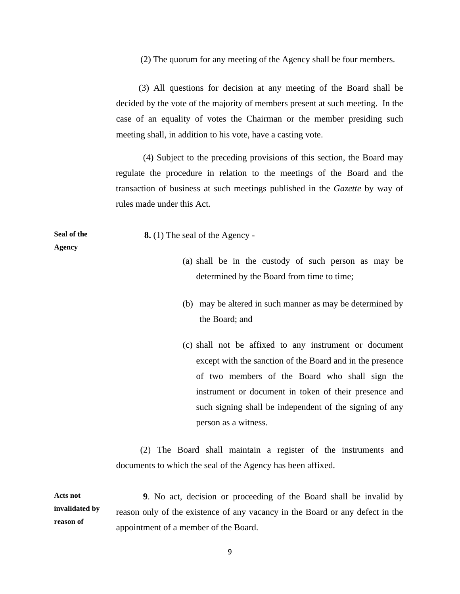(2) The quorum for any meeting of the Agency shall be four members.

(3) All questions for decision at any meeting of the Board shall be decided by the vote of the majority of members present at such meeting. In the case of an equality of votes the Chairman or the member presiding such meeting shall, in addition to his vote, have a casting vote.

 (4) Subject to the preceding provisions of this section, the Board may regulate the procedure in relation to the meetings of the Board and the transaction of business at such meetings published in the *Gazette* by way of rules made under this Act.

**Seal of the Agency**

 **8.** (1) The seal of the Agency -

- (a) shall be in the custody of such person as may be determined by the Board from time to time;
- (b) may be altered in such manner as may be determined by the Board; and
- (c) shall not be affixed to any instrument or document except with the sanction of the Board and in the presence of two members of the Board who shall sign the instrument or document in token of their presence and such signing shall be independent of the signing of any person as a witness.

 (2) The Board shall maintain a register of the instruments and documents to which the seal of the Agency has been affixed.

**Acts not invalidated by reason of 9**. No act, decision or proceeding of the Board shall be invalid by reason only of the existence of any vacancy in the Board or any defect in the appointment of a member of the Board.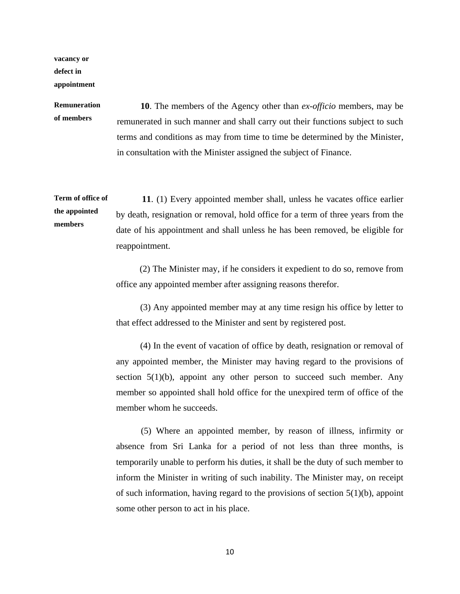**vacancy or defect in appointment**

# **Remuneration of members**

**10**. The members of the Agency other than *ex-officio* members, may be remunerated in such manner and shall carry out their functions subject to such terms and conditions as may from time to time be determined by the Minister, in consultation with the Minister assigned the subject of Finance.

**Term of office of the appointed members 11**. (1) Every appointed member shall, unless he vacates office earlier by death, resignation or removal, hold office for a term of three years from the date of his appointment and shall unless he has been removed, be eligible for reappointment.

> (2) The Minister may, if he considers it expedient to do so, remove from office any appointed member after assigning reasons therefor.

> (3) Any appointed member may at any time resign his office by letter to that effect addressed to the Minister and sent by registered post.

> (4) In the event of vacation of office by death, resignation or removal of any appointed member, the Minister may having regard to the provisions of section  $5(1)(b)$ , appoint any other person to succeed such member. Any member so appointed shall hold office for the unexpired term of office of the member whom he succeeds.

> (5) Where an appointed member, by reason of illness, infirmity or absence from Sri Lanka for a period of not less than three months, is temporarily unable to perform his duties, it shall be the duty of such member to inform the Minister in writing of such inability. The Minister may, on receipt of such information, having regard to the provisions of section  $5(1)(b)$ , appoint some other person to act in his place.

> > 10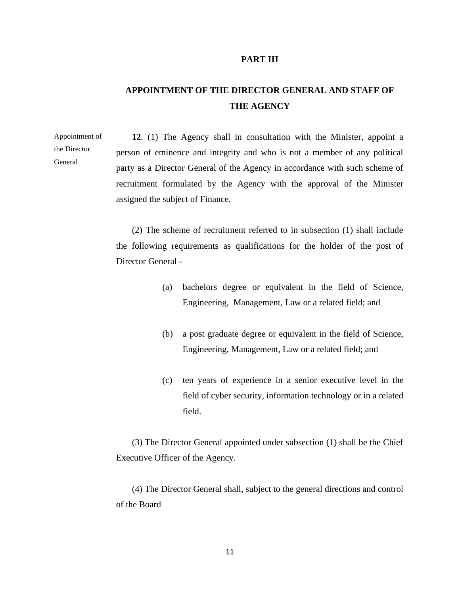#### **PART III**

# **APPOINTMENT OF THE DIRECTOR GENERAL AND STAFF OF THE AGENCY**

Appointment of the Director General

**12**. (1) The Agency shall in consultation with the Minister, appoint a person of eminence and integrity and who is not a member of any political party as a Director General of the Agency in accordance with such scheme of recruitment formulated by the Agency with the approval of the Minister assigned the subject of Finance.

(2) The scheme of recruitment referred to in subsection (1) shall include the following requirements as qualifications for the holder of the post of Director General -

- (a) bachelors degree or equivalent in the field of Science, Engineering, Management, Law or a related field; and
- (b) a post graduate degree or equivalent in the field of Science, Engineering, Management, Law or a related field; and
- (c) ten years of experience in a senior executive level in the field of cyber security, information technology or in a related field.

(3) The Director General appointed under subsection (1) shall be the Chief Executive Officer of the Agency.

(4) The Director General shall, subject to the general directions and control of the Board –

11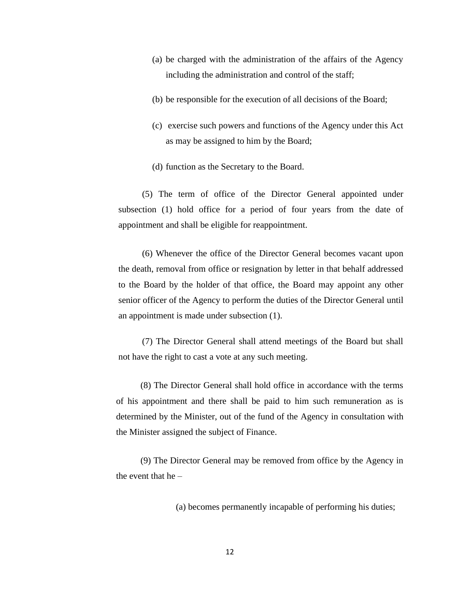- (a) be charged with the administration of the affairs of the Agency including the administration and control of the staff;
- (b) be responsible for the execution of all decisions of the Board;
- (c) exercise such powers and functions of the Agency under this Act as may be assigned to him by the Board;
- (d) function as the Secretary to the Board.

(5) The term of office of the Director General appointed under subsection (1) hold office for a period of four years from the date of appointment and shall be eligible for reappointment.

(6) Whenever the office of the Director General becomes vacant upon the death, removal from office or resignation by letter in that behalf addressed to the Board by the holder of that office, the Board may appoint any other senior officer of the Agency to perform the duties of the Director General until an appointment is made under subsection (1).

(7) The Director General shall attend meetings of the Board but shall not have the right to cast a vote at any such meeting.

(8) The Director General shall hold office in accordance with the terms of his appointment and there shall be paid to him such remuneration as is determined by the Minister, out of the fund of the Agency in consultation with the Minister assigned the subject of Finance.

(9) The Director General may be removed from office by the Agency in the event that he –

(a) becomes permanently incapable of performing his duties;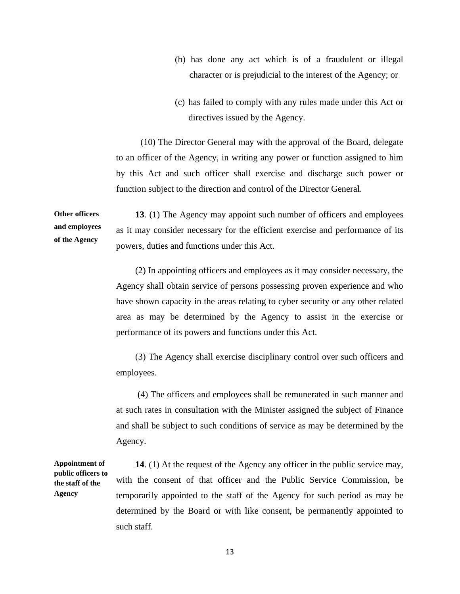- (b) has done any act which is of a fraudulent or illegal character or is prejudicial to the interest of the Agency; or
- (c) has failed to comply with any rules made under this Act or directives issued by the Agency.

(10) The Director General may with the approval of the Board, delegate to an officer of the Agency, in writing any power or function assigned to him by this Act and such officer shall exercise and discharge such power or function subject to the direction and control of the Director General.

**Other officers and employees of the Agency 13**. (1) The Agency may appoint such number of officers and employees as it may consider necessary for the efficient exercise and performance of its powers, duties and functions under this Act.

> (2) In appointing officers and employees as it may consider necessary, the Agency shall obtain service of persons possessing proven experience and who have shown capacity in the areas relating to cyber security or any other related area as may be determined by the Agency to assist in the exercise or performance of its powers and functions under this Act.

> (3) The Agency shall exercise disciplinary control over such officers and employees.

> (4) The officers and employees shall be remunerated in such manner and at such rates in consultation with the Minister assigned the subject of Finance and shall be subject to such conditions of service as may be determined by the Agency.

**14**. (1) At the request of the Agency any officer in the public service may, with the consent of that officer and the Public Service Commission, be temporarily appointed to the staff of the Agency for such period as may be determined by the Board or with like consent, be permanently appointed to such staff.

**Appointment of public officers to the staff of the Agency**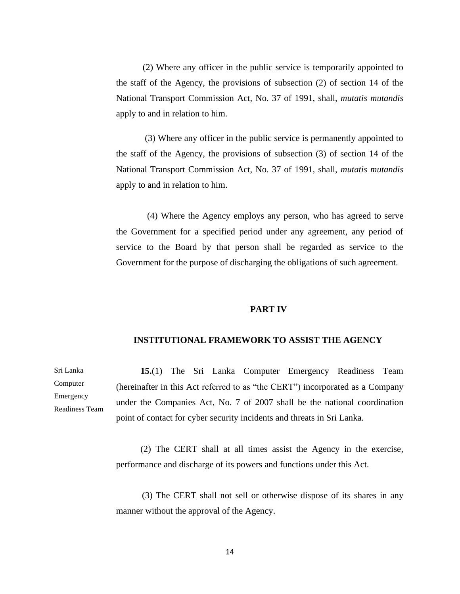(2) Where any officer in the public service is temporarily appointed to the staff of the Agency, the provisions of subsection (2) of section 14 of the National Transport Commission Act, No. 37 of 1991, shall, *mutatis mutandis*  apply to and in relation to him.

 (3) Where any officer in the public service is permanently appointed to the staff of the Agency, the provisions of subsection (3) of section 14 of the National Transport Commission Act, No. 37 of 1991, shall, *mutatis mutandis*  apply to and in relation to him.

 (4) Where the Agency employs any person, who has agreed to serve the Government for a specified period under any agreement, any period of service to the Board by that person shall be regarded as service to the Government for the purpose of discharging the obligations of such agreement.

## **PART IV**

### **INSTITUTIONAL FRAMEWORK TO ASSIST THE AGENCY**

**15.**(1) The Sri Lanka Computer Emergency Readiness Team (hereinafter in this Act referred to as "the CERT") incorporated as a Company under the Companies Act, No. 7 of 2007 shall be the national coordination point of contact for cyber security incidents and threats in Sri Lanka.

(2) The CERT shall at all times assist the Agency in the exercise, performance and discharge of its powers and functions under this Act.

(3) The CERT shall not sell or otherwise dispose of its shares in any manner without the approval of the Agency.

Sri Lanka Computer Emergency Readiness Team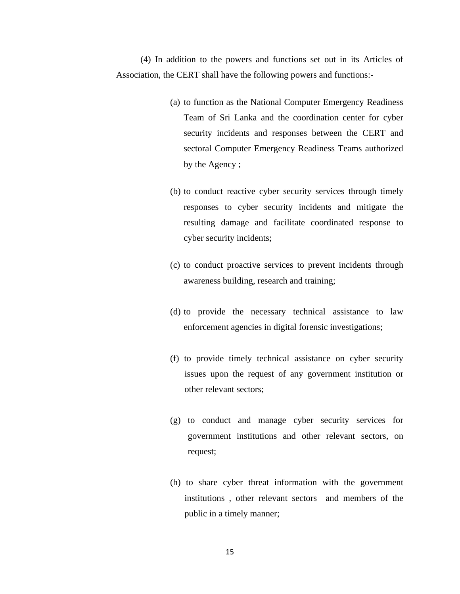(4) In addition to the powers and functions set out in its Articles of Association, the CERT shall have the following powers and functions:-

- (a) to function as the National Computer Emergency Readiness Team of Sri Lanka and the coordination center for cyber security incidents and responses between the CERT and sectoral Computer Emergency Readiness Teams authorized by the Agency ;
- (b) to conduct reactive cyber security services through timely responses to cyber security incidents and mitigate the resulting damage and facilitate coordinated response to cyber security incidents;
- (c) to conduct proactive services to prevent incidents through awareness building, research and training;
- (d) to provide the necessary technical assistance to law enforcement agencies in digital forensic investigations;
- (f) to provide timely technical assistance on cyber security issues upon the request of any government institution or other relevant sectors;
- (g) to conduct and manage cyber security services for government institutions and other relevant sectors, on request;
- (h) to share cyber threat information with the government institutions , other relevant sectors and members of the public in a timely manner;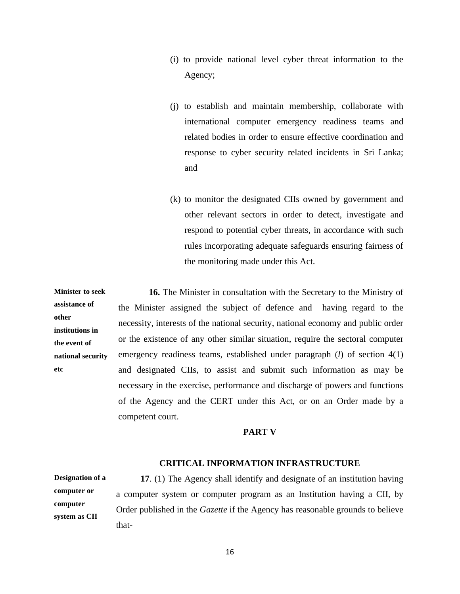- (i) to provide national level cyber threat information to the Agency;
- (j) to establish and maintain membership, collaborate with international computer emergency readiness teams and related bodies in order to ensure effective coordination and response to cyber security related incidents in Sri Lanka; and
- (k) to monitor the designated CIIs owned by government and other relevant sectors in order to detect, investigate and respond to potential cyber threats, in accordance with such rules incorporating adequate safeguards ensuring fairness of the monitoring made under this Act.

**Minister to seek assistance of other institutions in the event of national security etc 16.** The Minister in consultation with the Secretary to the Ministry of the Minister assigned the subject of defence and having regard to the necessity, interests of the national security, national economy and public order or the existence of any other similar situation, require the sectoral computer emergency readiness teams, established under paragraph (*l*) of section 4(1) and designated CIIs, to assist and submit such information as may be necessary in the exercise, performance and discharge of powers and functions of the Agency and the CERT under this Act, or on an Order made by a competent court.

### **PART V**

### **CRITICAL INFORMATION INFRASTRUCTURE**

**Designation of a computer or computer system as CII**

**17**. (1) The Agency shall identify and designate of an institution having a computer system or computer program as an Institution having a CII, by Order published in the *Gazette* if the Agency has reasonable grounds to believe that-

16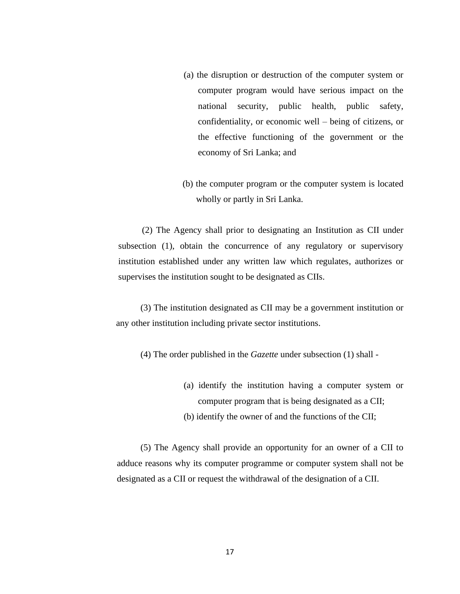- (a) the disruption or destruction of the computer system or computer program would have serious impact on the national security, public health, public safety, confidentiality, or economic well – being of citizens, or the effective functioning of the government or the economy of Sri Lanka; and
- (b) the computer program or the computer system is located wholly or partly in Sri Lanka.

(2) The Agency shall prior to designating an Institution as CII under subsection (1), obtain the concurrence of any regulatory or supervisory institution established under any written law which regulates, authorizes or supervises the institution sought to be designated as CIIs.

(3) The institution designated as CII may be a government institution or any other institution including private sector institutions.

(4) The order published in the *Gazette* under subsection (1) shall -

- (a) identify the institution having a computer system or computer program that is being designated as a CII;
- (b) identify the owner of and the functions of the CII;

(5) The Agency shall provide an opportunity for an owner of a CII to adduce reasons why its computer programme or computer system shall not be designated as a CII or request the withdrawal of the designation of a CII.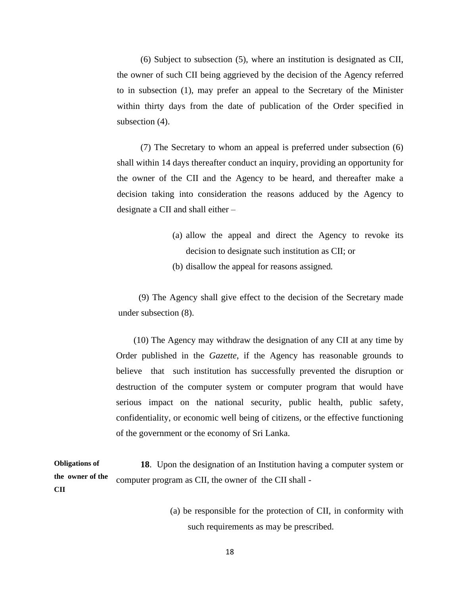(6) Subject to subsection (5), where an institution is designated as CII, the owner of such CII being aggrieved by the decision of the Agency referred to in subsection (1), may prefer an appeal to the Secretary of the Minister within thirty days from the date of publication of the Order specified in subsection (4).

(7) The Secretary to whom an appeal is preferred under subsection (6) shall within 14 days thereafter conduct an inquiry, providing an opportunity for the owner of the CII and the Agency to be heard, and thereafter make a decision taking into consideration the reasons adduced by the Agency to designate a CII and shall either –

- (a) allow the appeal and direct the Agency to revoke its decision to designate such institution as CII; or
- (b) disallow the appeal for reasons assigned*.*

(9) The Agency shall give effect to the decision of the Secretary made under subsection (8).

(10) The Agency may withdraw the designation of any CII at any time by Order published in the *Gazette*, if the Agency has reasonable grounds to believe that such institution has successfully prevented the disruption or destruction of the computer system or computer program that would have serious impact on the national security, public health, public safety, confidentiality, or economic well being of citizens, or the effective functioning of the government or the economy of Sri Lanka.

**Obligations of the owner of the CII 18**. Upon the designation of an Institution having a computer system or computer program as CII, the owner of the CII shall -

> (a) be responsible for the protection of CII, in conformity with such requirements as may be prescribed.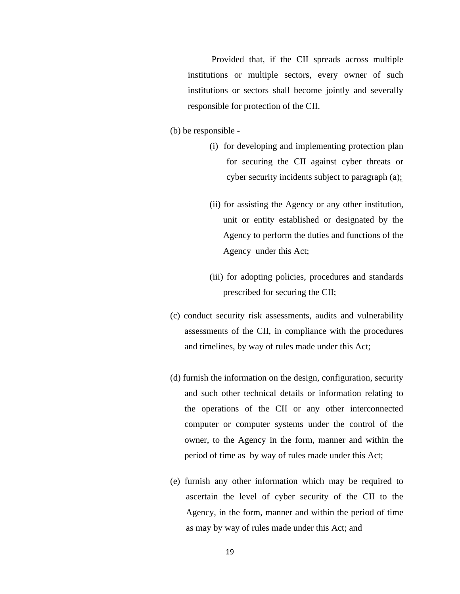Provided that, if the CII spreads across multiple institutions or multiple sectors, every owner of such institutions or sectors shall become jointly and severally responsible for protection of the CII.

- (b) be responsible
	- (i) for developing and implementing protection plan for securing the CII against cyber threats or cyber security incidents subject to paragraph (a);
	- (ii) for assisting the Agency or any other institution, unit or entity established or designated by the Agency to perform the duties and functions of the Agency under this Act;
	- (iii) for adopting policies, procedures and standards prescribed for securing the CII;
- (c) conduct security risk assessments, audits and vulnerability assessments of the CII, in compliance with the procedures and timelines, by way of rules made under this Act;
- (d) furnish the information on the design, configuration, security and such other technical details or information relating to the operations of the CII or any other interconnected computer or computer systems under the control of the owner, to the Agency in the form, manner and within the period of time as by way of rules made under this Act;
- (e) furnish any other information which may be required to ascertain the level of cyber security of the CII to the Agency, in the form, manner and within the period of time as may by way of rules made under this Act; and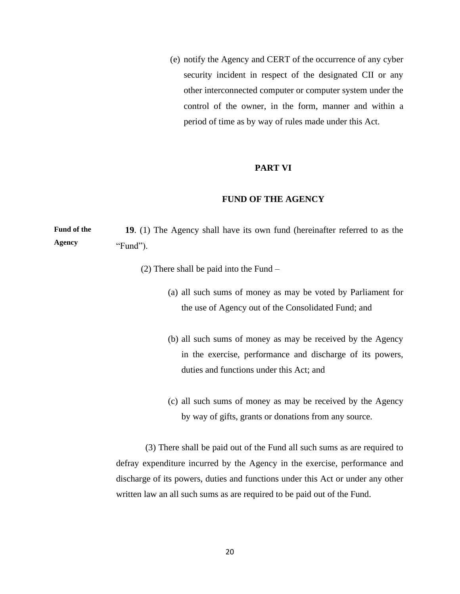(e) notify the Agency and CERT of the occurrence of any cyber security incident in respect of the designated CII or any other interconnected computer or computer system under the control of the owner, in the form, manner and within a period of time as by way of rules made under this Act.

#### **PART VI**

# **FUND OF THE AGENCY**

**Fund of the Agency 19**. (1) The Agency shall have its own fund (hereinafter referred to as the "Fund").

(2) There shall be paid into the Fund –

- (a) all such sums of money as may be voted by Parliament for the use of Agency out of the Consolidated Fund; and
- (b) all such sums of money as may be received by the Agency in the exercise, performance and discharge of its powers, duties and functions under this Act; and
- (c) all such sums of money as may be received by the Agency by way of gifts, grants or donations from any source.

 (3) There shall be paid out of the Fund all such sums as are required to defray expenditure incurred by the Agency in the exercise, performance and discharge of its powers, duties and functions under this Act or under any other written law an all such sums as are required to be paid out of the Fund.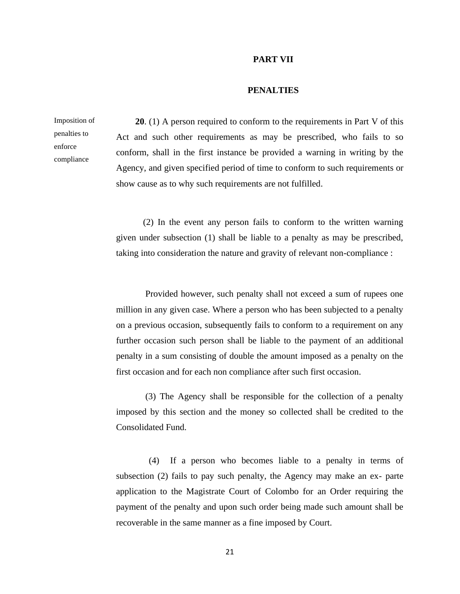#### **PART VII**

# **PENALTIES**

Imposition of penalties to enforce compliance

**20**. (1) A person required to conform to the requirements in Part V of this Act and such other requirements as may be prescribed, who fails to so conform, shall in the first instance be provided a warning in writing by the Agency, and given specified period of time to conform to such requirements or show cause as to why such requirements are not fulfilled.

(2) In the event any person fails to conform to the written warning given under subsection (1) shall be liable to a penalty as may be prescribed, taking into consideration the nature and gravity of relevant non-compliance :

Provided however, such penalty shall not exceed a sum of rupees one million in any given case. Where a person who has been subjected to a penalty on a previous occasion, subsequently fails to conform to a requirement on any further occasion such person shall be liable to the payment of an additional penalty in a sum consisting of double the amount imposed as a penalty on the first occasion and for each non compliance after such first occasion.

(3) The Agency shall be responsible for the collection of a penalty imposed by this section and the money so collected shall be credited to the Consolidated Fund.

(4) If a person who becomes liable to a penalty in terms of subsection (2) fails to pay such penalty, the Agency may make an ex- parte application to the Magistrate Court of Colombo for an Order requiring the payment of the penalty and upon such order being made such amount shall be recoverable in the same manner as a fine imposed by Court.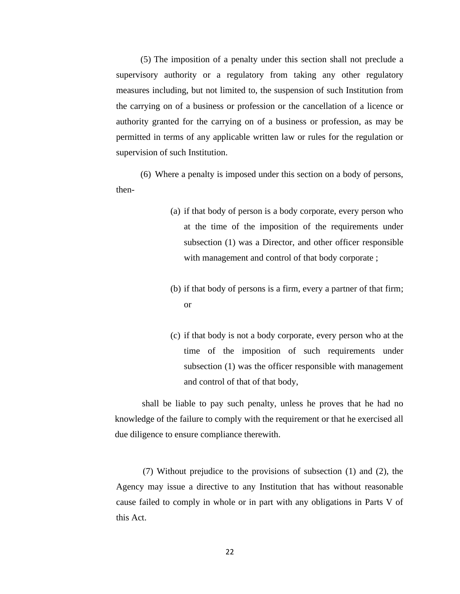(5) The imposition of a penalty under this section shall not preclude a supervisory authority or a regulatory from taking any other regulatory measures including, but not limited to, the suspension of such Institution from the carrying on of a business or profession or the cancellation of a licence or authority granted for the carrying on of a business or profession, as may be permitted in terms of any applicable written law or rules for the regulation or supervision of such Institution.

(6) Where a penalty is imposed under this section on a body of persons, then-

- (a) if that body of person is a body corporate, every person who at the time of the imposition of the requirements under subsection (1) was a Director, and other officer responsible with management and control of that body corporate ;
- (b) if that body of persons is a firm, every a partner of that firm; or
- (c) if that body is not a body corporate, every person who at the time of the imposition of such requirements under subsection (1) was the officer responsible with management and control of that of that body,

shall be liable to pay such penalty, unless he proves that he had no knowledge of the failure to comply with the requirement or that he exercised all due diligence to ensure compliance therewith.

(7) Without prejudice to the provisions of subsection (1) and (2), the Agency may issue a directive to any Institution that has without reasonable cause failed to comply in whole or in part with any obligations in Parts V of this Act.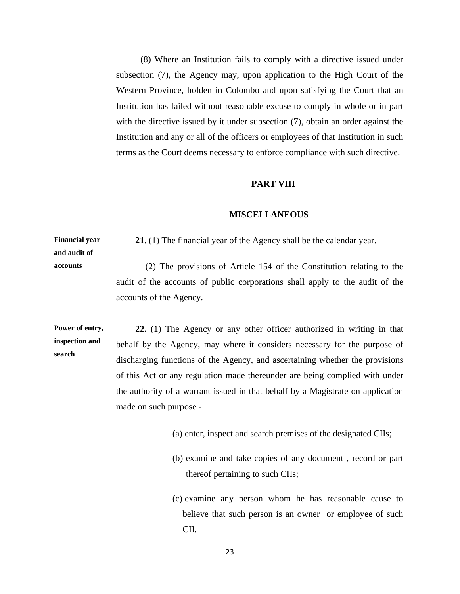(8) Where an Institution fails to comply with a directive issued under subsection (7), the Agency may, upon application to the High Court of the Western Province, holden in Colombo and upon satisfying the Court that an Institution has failed without reasonable excuse to comply in whole or in part with the directive issued by it under subsection (7), obtain an order against the Institution and any or all of the officers or employees of that Institution in such terms as the Court deems necessary to enforce compliance with such directive.

#### **PART VIII**

#### **MISCELLANEOUS**

**Financial year and audit of 21**. (1) The financial year of the Agency shall be the calendar year.

**accounts**

 (2) The provisions of Article 154 of the Constitution relating to the audit of the accounts of public corporations shall apply to the audit of the accounts of the Agency.

**Power of entry, inspection and search 22.** (1) The Agency or any other officer authorized in writing in that behalf by the Agency, may where it considers necessary for the purpose of discharging functions of the Agency, and ascertaining whether the provisions of this Act or any regulation made thereunder are being complied with under the authority of a warrant issued in that behalf by a Magistrate on application made on such purpose -

- (a) enter, inspect and search premises of the designated CIIs;
- (b) examine and take copies of any document , record or part thereof pertaining to such CIIs;
- (c) examine any person whom he has reasonable cause to believe that such person is an owner or employee of such CII.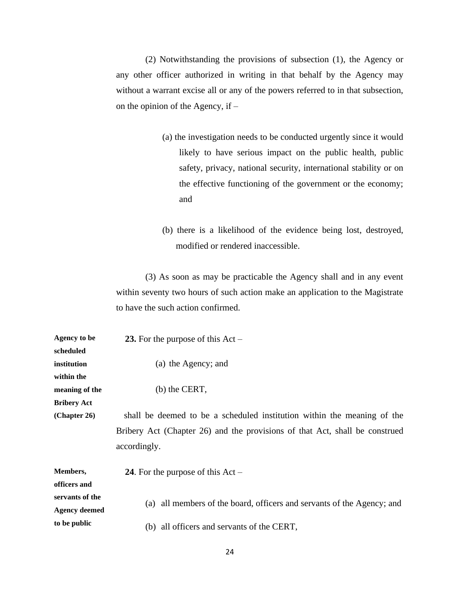(2) Notwithstanding the provisions of subsection (1), the Agency or any other officer authorized in writing in that behalf by the Agency may without a warrant excise all or any of the powers referred to in that subsection, on the opinion of the Agency, if –

- (a) the investigation needs to be conducted urgently since it would likely to have serious impact on the public health, public safety, privacy, national security, international stability or on the effective functioning of the government or the economy; and
- (b) there is a likelihood of the evidence being lost, destroyed, modified or rendered inaccessible.

(3) As soon as may be practicable the Agency shall and in any event within seventy two hours of such action make an application to the Magistrate to have the such action confirmed.

| <b>Agency to be</b>  | 23. For the purpose of this $Act -$                                         |
|----------------------|-----------------------------------------------------------------------------|
| scheduled            |                                                                             |
| institution          | (a) the Agency; and                                                         |
| within the           |                                                                             |
| meaning of the       | (b) the CERT,                                                               |
| <b>Bribery Act</b>   |                                                                             |
| (Chapter 26)         | shall be deemed to be a scheduled institution within the meaning of the     |
|                      | Bribery Act (Chapter 26) and the provisions of that Act, shall be construed |
|                      | accordingly.                                                                |
| Members,             | 24. For the purpose of this $Act -$                                         |
| officers and         |                                                                             |
| servants of the      | all members of the board, officers and servants of the Agency; and<br>(a)   |
| <b>Agency deemed</b> |                                                                             |
| to be public         | all officers and servants of the CERT,<br>(b)                               |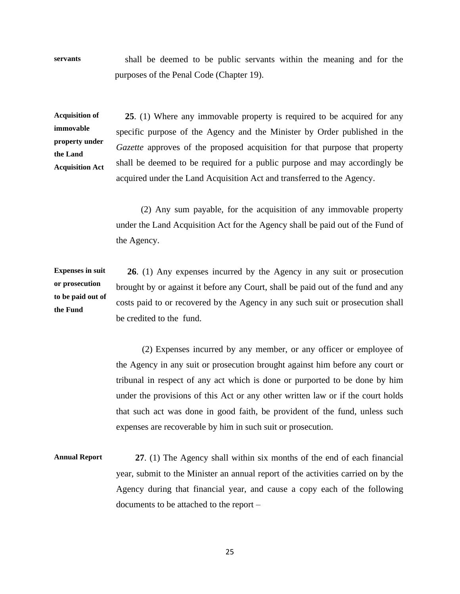**servants** shall be deemed to be public servants within the meaning and for the purposes of the Penal Code (Chapter 19).

**Acquisition of immovable property under the Land Acquisition Act**

 **25**. (1) Where any immovable property is required to be acquired for any specific purpose of the Agency and the Minister by Order published in the *Gazette* approves of the proposed acquisition for that purpose that property shall be deemed to be required for a public purpose and may accordingly be acquired under the Land Acquisition Act and transferred to the Agency.

 (2) Any sum payable, for the acquisition of any immovable property under the Land Acquisition Act for the Agency shall be paid out of the Fund of the Agency.

**Expenses in suit or prosecution to be paid out of the Fund 26**. (1) Any expenses incurred by the Agency in any suit or prosecution brought by or against it before any Court, shall be paid out of the fund and any costs paid to or recovered by the Agency in any such suit or prosecution shall be credited to the fund.

> (2) Expenses incurred by any member, or any officer or employee of the Agency in any suit or prosecution brought against him before any court or tribunal in respect of any act which is done or purported to be done by him under the provisions of this Act or any other written law or if the court holds that such act was done in good faith, be provident of the fund, unless such expenses are recoverable by him in such suit or prosecution.

**Annual Report 27**. (1) The Agency shall within six months of the end of each financial year, submit to the Minister an annual report of the activities carried on by the Agency during that financial year, and cause a copy each of the following documents to be attached to the report –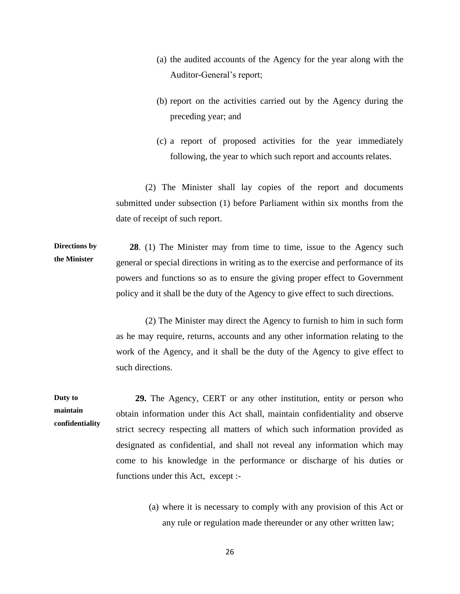- (a) the audited accounts of the Agency for the year along with the Auditor-General's report;
- (b) report on the activities carried out by the Agency during the preceding year; and
- (c) a report of proposed activities for the year immediately following, the year to which such report and accounts relates.

 (2) The Minister shall lay copies of the report and documents submitted under subsection (1) before Parliament within six months from the date of receipt of such report.

**Directions by the Minister 28**. (1) The Minister may from time to time, issue to the Agency such general or special directions in writing as to the exercise and performance of its powers and functions so as to ensure the giving proper effect to Government policy and it shall be the duty of the Agency to give effect to such directions.

> (2) The Minister may direct the Agency to furnish to him in such form as he may require, returns, accounts and any other information relating to the work of the Agency, and it shall be the duty of the Agency to give effect to such directions.

**Duty to maintain confidentiality 29.** The Agency, CERT or any other institution, entity or person who obtain information under this Act shall, maintain confidentiality and observe strict secrecy respecting all matters of which such information provided as designated as confidential, and shall not reveal any information which may come to his knowledge in the performance or discharge of his duties or functions under this Act, except :-

> (a) where it is necessary to comply with any provision of this Act or any rule or regulation made thereunder or any other written law;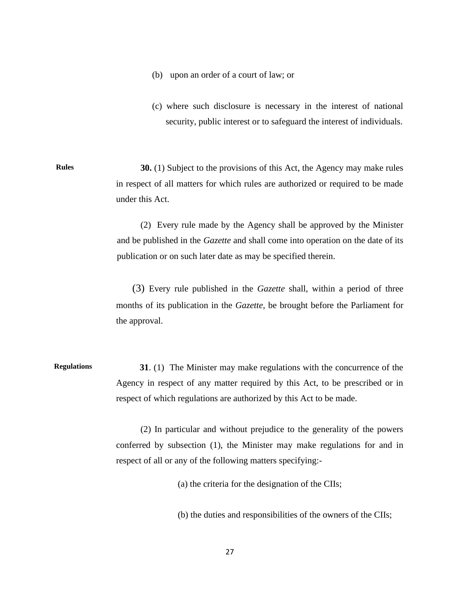- (b) upon an order of a court of law; or
- (c) where such disclosure is necessary in the interest of national security, public interest or to safeguard the interest of individuals.

**Rules 30.** (1) Subject to the provisions of this Act, the Agency may make rules in respect of all matters for which rules are authorized or required to be made under this Act.

> (2) Every rule made by the Agency shall be approved by the Minister and be published in the *Gazette* and shall come into operation on the date of its publication or on such later date as may be specified therein.

> (3) Every rule published in the *Gazette* shall, within a period of three months of its publication in the *Gazette,* be brought before the Parliament for the approval.

**Regulations 31**. (1) The Minister may make regulations with the concurrence of the Agency in respect of any matter required by this Act, to be prescribed or in respect of which regulations are authorized by this Act to be made.

> (2) In particular and without prejudice to the generality of the powers conferred by subsection (1), the Minister may make regulations for and in respect of all or any of the following matters specifying:-

> > (a) the criteria for the designation of the CIIs;

(b) the duties and responsibilities of the owners of the CIIs;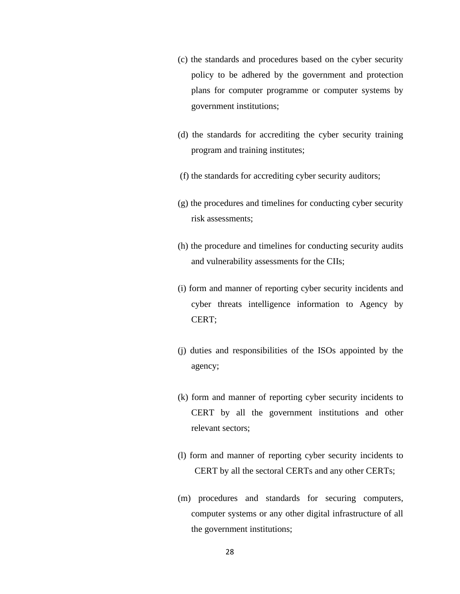- (c) the standards and procedures based on the cyber security policy to be adhered by the government and protection plans for computer programme or computer systems by government institutions;
- (d) the standards for accrediting the cyber security training program and training institutes;
- (f) the standards for accrediting cyber security auditors;
- (g) the procedures and timelines for conducting cyber security risk assessments;
- (h) the procedure and timelines for conducting security audits and vulnerability assessments for the CIIs;
- (i) form and manner of reporting cyber security incidents and cyber threats intelligence information to Agency by CERT;
- (j) duties and responsibilities of the ISOs appointed by the agency;
- (k) form and manner of reporting cyber security incidents to CERT by all the government institutions and other relevant sectors;
- (l) form and manner of reporting cyber security incidents to CERT by all the sectoral CERTs and any other CERTs;
- (m) procedures and standards for securing computers, computer systems or any other digital infrastructure of all the government institutions;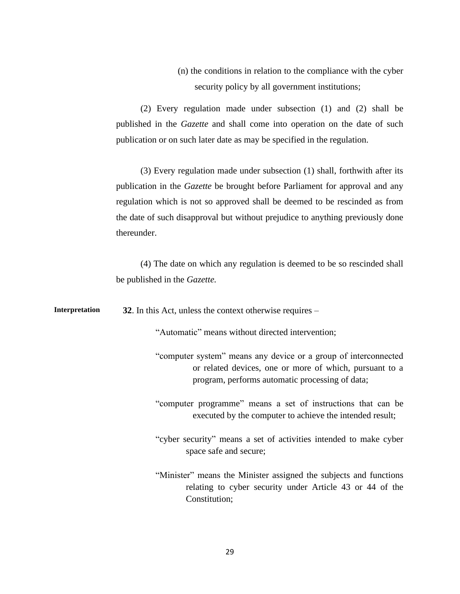(n) the conditions in relation to the compliance with the cyber security policy by all government institutions;

(2) Every regulation made under subsection (1) and (2) shall be published in the *Gazette* and shall come into operation on the date of such publication or on such later date as may be specified in the regulation.

(3) Every regulation made under subsection (1) shall, forthwith after its publication in the *Gazette* be brought before Parliament for approval and any regulation which is not so approved shall be deemed to be rescinded as from the date of such disapproval but without prejudice to anything previously done thereunder.

(4) The date on which any regulation is deemed to be so rescinded shall be published in the *Gazette.*

**Interpretation 32**. In this Act, unless the context otherwise requires –

"Automatic" means without directed intervention;

"computer system" means any device or a group of interconnected or related devices, one or more of which, pursuant to a program, performs automatic processing of data;

"computer programme" means a set of instructions that can be executed by the computer to achieve the intended result;

"cyber security" means a set of activities intended to make cyber space safe and secure;

"Minister" means the Minister assigned the subjects and functions relating to cyber security under Article 43 or 44 of the Constitution;